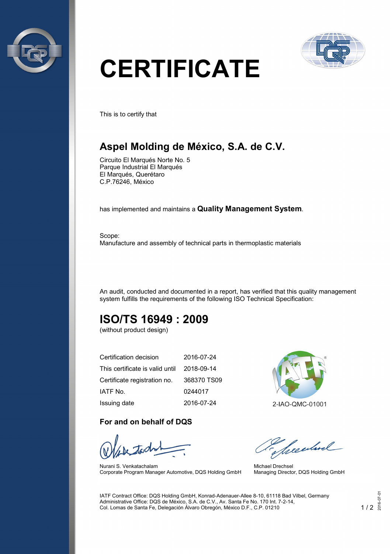



# **CERTIFICATE**

This is to certify that

# **Aspel Molding de México, S.A. de C.V.**

Circuito El Marqués Norte No. 5 Parque Industrial El Marqués El Marqués, Querétaro C.P.76246, México

has implemented and maintains a **Quality Management System**.

Scope: Manufacture and assembly of technical parts in thermoplastic materials

An audit, conducted and documented in a report, has verified that this quality management system fulfills the requirements of the following ISO Technical Specification:

# **ISO/TS 16949 : 2009**

(without product design)

| Certification decision          | 2016-07-24  |
|---------------------------------|-------------|
| This certificate is valid until | 2018-09-14  |
| Certificate registration no.    | 368370 TS09 |
| IATF No.                        | 0244017     |
| Issuing date                    | 2016-07-24  |

#### **For and on behalf of DQS**

Nurani S. Venkatachalam Corporate Program Manager Automotive, DQS Holding GmbH



Needbree

Michael Drechsel Managing Director, DQS Holding GmbH

IATF Contract Office: DQS Holding GmbH, Konrad-Adenauer-Allee 8-10, 61118 Bad Vilbel, Germany Administrative Office: DQS de México, S.A. de C.V., Av. Santa Fe No. 170 Int. 7-2-14, Col. Lomas de Santa Fe, Delegación Álvaro Obregón, México D.F., C.P. 01210